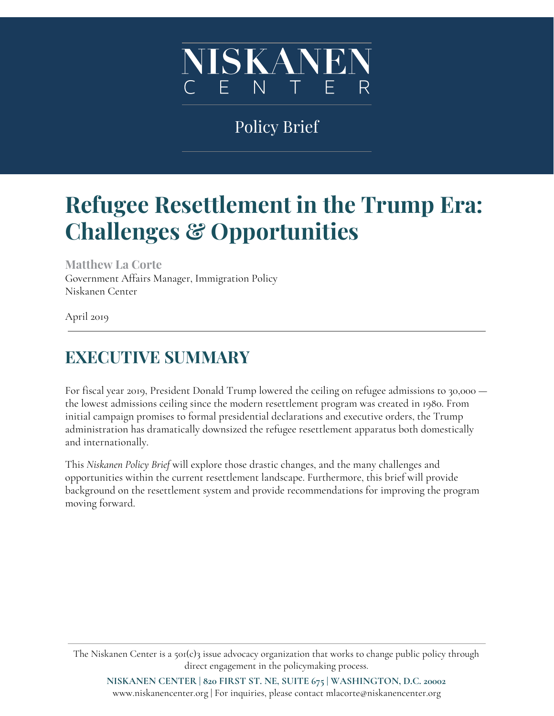

# Policy Brief

# **Refugee Resettlement in the Trump Era: Challenges & Opportunities**

**Matthew La Corte** Government Affairs Manager, Immigration Policy Niskanen Center

April 2019

## **EXECUTIVE SUMMARY**

For fiscal year 2019, President Donald Trump lowered the ceiling on refugee admissions to 30,000 the lowest admissions ceiling since the modern resettlement program was created in 1980. From initial campaign promises to formal presidential declarations and executive orders, the Trump administration has dramatically downsized the refugee resettlement apparatus both domestically and internationally.

This *Niskanen Policy Brief* will explore those drastic changes, and the many challenges and opportunities within the current resettlement landscape. Furthermore, this brief will provide background on the resettlement system and provide recommendations for improving the program moving forward.

The Niskanen Center is a 501(c)3 issue advocacy organization that works to change public policy through direct engagement in the policymaking process.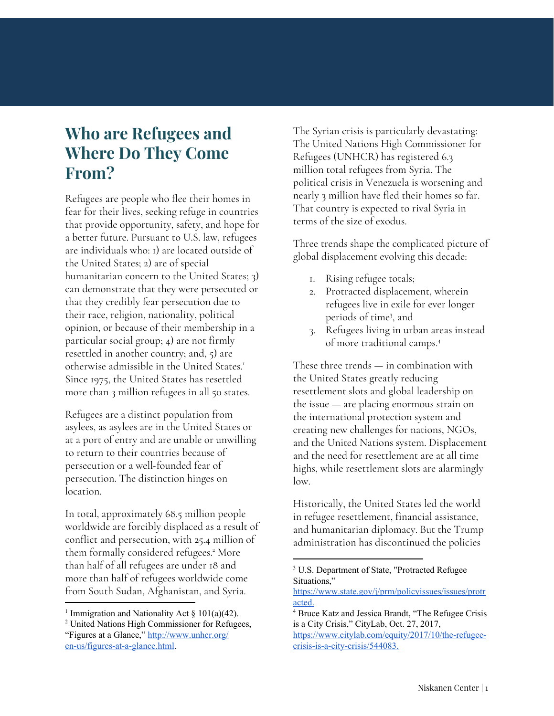### **Who are Refugees and Where Do They Come From?**

Refugees are people who flee their homes in fear for their lives, seeking refuge in countries that provide opportunity, safety, and hope for a better future. Pursuant to U.S. law, refugees are individuals who: 1) are located outside of the United States; 2) are of special humanitarian concern to the United States; 3) can demonstrate that they were persecuted or that they credibly fear persecution due to their race, religion, nationality, political opinion, or because of their membership in a particular social group; 4) are not firmly resettled in another country; and, 5) are otherwise admissible in the United States. 1 Since 1975, the United States has resettled more than 3 million refugees in all 50 states.

Refugees are a distinct population from asylees, as asylees are in the United States or at a port of entry and are unable or unwilling to return to their countries because of persecution or a well-founded fear of persecution. The distinction hinges on location.

In total, approximately 68.5 million people worldwide are forcibly displaced as a result of conflict and persecution, with 25.4 million of them formally considered refugees.<sup>2</sup> More than half of all refugees are under 18 and more than half of refugees worldwide come from South Sudan, Afghanistan, and Syria.

The Syrian crisis is particularly devastating: The United Nations High Commissioner for Refugees (UNHCR) has registered 6.3 million total refugees from Syria. The political crisis in Venezuela is worsening and nearly 3 million have fled their homes so far. That country is expected to rival Syria in terms of the size of exodus.

Three trends shape the complicated picture of global displacement evolving this decade:

- 1. Rising refugee totals;
- 2. Protracted displacement, wherein refugees live in exile for ever longer periods of time<sup>3</sup>, and
- 3. Refugees living in urban areas instead of more traditional camps. 4

These three trends — in combination with the United States greatly reducing resettlement slots and global leadership on the issue — are placing enormous strain on the international protection system and creating new challenges for nations, NGOs, and the United Nations system. Displacement and the need for resettlement are at all time highs, while resettlement slots are alarmingly low.

Historically, the United States led the world in refugee resettlement, financial assistance, and humanitarian diplomacy. But the Trump administration has discontinued the policies

<sup>&</sup>lt;sup>1</sup> Immigration and Nationality Act  $\S$  101(a)(42).

<sup>2</sup> United Nations High Commissioner for Refugees, "Figures at a Glance," [http://www.unhcr.org/](http://www.unhcr.org/en-us/figures-at-a-glance.html) [en-us/figures-at-a-glance.html.](http://www.unhcr.org/en-us/figures-at-a-glance.html)

<sup>&</sup>lt;sup>3</sup> U.S. Department of State, "Protracted Refugee Situations,"

[https://www.state.gov/j/prm/policyissues/issues/protr](https://www.state.gov/j/prm/policyissues/issues/protracted/) [acted.](https://www.state.gov/j/prm/policyissues/issues/protracted/)

<sup>4</sup> Bruce Katz and Jessica Brandt, "The Refugee Crisis is a City Crisis," CityLab, Oct. 27, 2017,

[https://www.citylab.com/equity/2017/10/the-refugee](https://www.citylab.com/equity/2017/10/the-refugee-crisis-is-a-city-crisis/544083/)[crisis-is-a-city-crisis/544083.](https://www.citylab.com/equity/2017/10/the-refugee-crisis-is-a-city-crisis/544083/)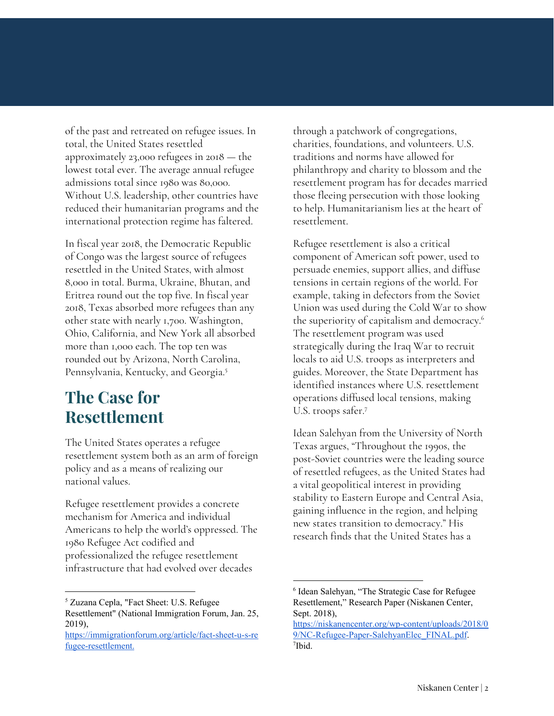of the past and retreated on refugee issues. In total, the United States resettled approximately 23,000 refugees in 2018 — the lowest total ever. The average annual refugee admissions total since 1980 was 80,000. Without U.S. leadership, other countries have reduced their humanitarian programs and the international protection regime has faltered.

In fiscal year 2018, the Democratic Republic of Congo was the largest source of refugees resettled in the United States, with almost 8,000 in total. Burma, Ukraine, Bhutan, and Eritrea round out the top five. In fiscal year 2018, Texas absorbed more refugees than any other state with nearly 1,700. Washington, Ohio, California, and New York all absorbed more than 1,000 each. The top ten was rounded out by Arizona, North Carolina, Pennsylvania, Kentucky, and Georgia. 5

### **The Case for Resettlement**

The United States operates a refugee resettlement system both as an arm of foreign policy and as a means of realizing our national values.

Refugee resettlement provides a concrete mechanism for America and individual Americans to help the world's oppressed. The 1980 Refugee Act codified and professionalized the refugee resettlement infrastructure that had evolved over decades

through a patchwork of congregations, charities, foundations, and volunteers. U.S. traditions and norms have allowed for philanthropy and charity to blossom and the resettlement program has for decades married those fleeing persecution with those looking to help. Humanitarianism lies at the heart of resettlement.

Refugee resettlement is also a critical component of American soft power, used to persuade enemies, support allies, and diffuse tensions in certain regions of the world. For example, taking in defectors from the Soviet Union was used during the Cold War to show the superiority of capitalism and democracy. 6 The resettlement program was used strategically during the Iraq War to recruit locals to aid U.S. troops as interpreters and guides. Moreover, the State Department has identified instances where U.S. resettlement operations diffused local tensions, making U.S. troops safer. 7

Idean Salehyan from the University of North Texas argues, "Throughout the 1990s, the post-Soviet countries were the leading source of resettled refugees, as the United States had a vital geopolitical interest in providing stability to Eastern Europe and Central Asia, gaining influence in the region, and helping new states transition to democracy." His research finds that the United States has a

<sup>5</sup> Zuzana Cepla, "Fact Sheet: U.S. Refugee Resettlement" (National Immigration Forum, Jan. 25, 2019),

[https://immigrationforum.org/article/fact-sheet-u-s-re](https://immigrationforum.org/article/fact-sheet-u-s-refugee-resettlement/) [fugee-resettlement.](https://immigrationforum.org/article/fact-sheet-u-s-refugee-resettlement/)

<sup>6</sup> Idean Salehyan, "The Strategic Case for Refugee Resettlement," Research Paper (Niskanen Center, Sept. 2018),

[https://niskanencenter.org/wp-content/uploads/2018/0](https://niskanencenter.org/wp-content/uploads/2018/09/NC-Refugee-Paper-SalehyanElec_FINAL.pdf) [9/NC-Refugee-Paper-SalehyanElec\\_FINAL.pdf](https://niskanencenter.org/wp-content/uploads/2018/09/NC-Refugee-Paper-SalehyanElec_FINAL.pdf). 7 Ibid.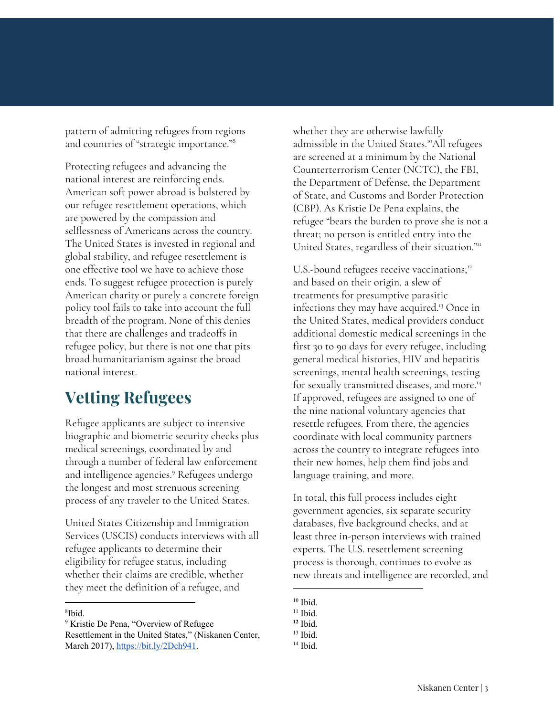pattern of admitting refugees from regions and countries of "strategic importance." 8

Protecting refugees and advancing the national interest are reinforcing ends. American soft power abroad is bolstered by our refugee resettlement operations, which are powered by the compassion and selflessness of Americans across the country. The United States is invested in regional and global stability, and refugee resettlement is one effective tool we have to achieve those ends. To suggest refugee protection is purely American charity or purely a concrete foreign policy tool fails to take into account the full breadth of the program. None of this denies that there are challenges and tradeoffs in refugee policy, but there is not one that pits broad humanitarianism against the broad national interest.

### **Vetting Refugees**

Refugee applicants are subject to intensive biographic and biometric security checks plus medical screenings, coordinated by and through a number of federal law enforcement and intelligence agencies.<sup>9</sup> Refugees undergo the longest and most strenuous screening process of any traveler to the United States.

United States Citizenship and Immigration Services (USCIS) conducts interviews with all refugee applicants to determine their eligibility for refugee status, including whether their claims are credible, whether they meet the definition of a refugee, and

whether they are otherwise lawfully admissible in the United States.<sup>10</sup>All refugees are screened at a minimum by the National Counterterrorism Center (NCTC), the FBI, the Department of Defense, the Department of State, and Customs and Border Protection (CBP). As Kristie De Pena explains, the refugee "bears the burden to prove she is not a threat; no person is entitled entry into the United States, regardless of their situation."<sup>11</sup>

U.S.-bound refugees receive vaccinations,<sup>12</sup> and based on their origin, a slew of treatments for presumptive parasitic infections they may have acquired.<sup>13</sup> Once in the United States, medical providers conduct additional domestic medical screenings in the first 30 to 90 days for every refugee, including general medical histories, HIV and hepatitis screenings, mental health screenings, testing for sexually transmitted diseases, and more. 14 If approved, refugees are assigned to one of the nine national voluntary agencies that resettle refugees. From there, the agencies coordinate with local community partners across the country to integrate refugees into their new homes, help them find jobs and language training, and more.

In total, this full process includes eight government agencies, six separate security databases, five background checks, and at least three in-person interviews with trained experts. The U.S. resettlement screening process is thorough, continues to evolve as new threats and intelligence are recorded, and

 $10$  Ibid.

<sup>8</sup> Ibid.

<sup>&</sup>lt;sup>9</sup> Kristie De Pena, "Overview of Refugee Resettlement in the United States," (Niskanen Center, March 2017), [https://bit.ly/2Dch941.](https://bit.ly/2Dch941)

 $11$  Ibid.

**<sup>12</sup>** Ibid.

 $13$  Ibid.

 $14$  Ibid.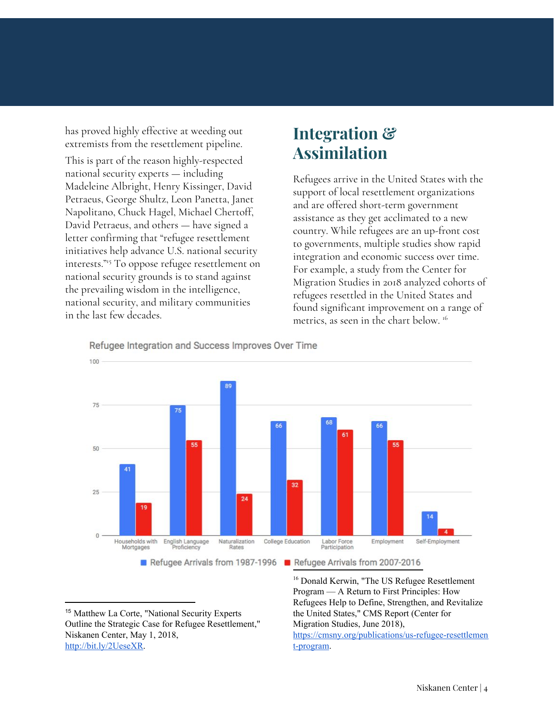has proved highly effective at weeding out extremists from the resettlement pipeline.

This is part of the reason highly-respected national security experts — including Madeleine Albright, Henry Kissinger, David Petraeus, George Shultz, Leon Panetta, Janet Napolitano, Chuck Hagel, Michael Chertoff, David Petraeus, and others — have signed a letter confirming that "refugee resettlement initiatives help advance U.S. national security interests."<sup>15</sup> To oppose refugee resettlement on national security grounds is to stand against the prevailing wisdom in the intelligence, national security, and military communities in the last few decades.

#### **Integration & Assimilation**

Refugees arrive in the United States with the support of local resettlement organizations and are offered short-term government assistance as they get acclimated to a new country. While refugees are an up-front cost to governments, multiple studies show rapid integration and economic success over time. For example, a study from the Center for Migration Studies in 2018 analyzed cohorts of refugees resettled in the United States and found significant improvement on a range of metrics, as seen in the chart below. 16



Refugee Integration and Success Improves Over Time

<sup>15</sup> Matthew La Corte, "National Security Experts Outline the Strategic Case for Refugee Resettlement," Niskanen Center, May 1, 2018, <http://bit.ly/2UeseXR>.

<sup>16</sup> Donald Kerwin, "The US Refugee Resettlement Program — A Return to First Principles: How Refugees Help to Define, Strengthen, and Revitalize the United States," CMS Report (Center for Migration Studies, June 2018), [https://cmsny.org/publications/us-refugee-resettlemen](https://cmsny.org/publications/us-refugee-resettlement-program/) [t-program.](https://cmsny.org/publications/us-refugee-resettlement-program/)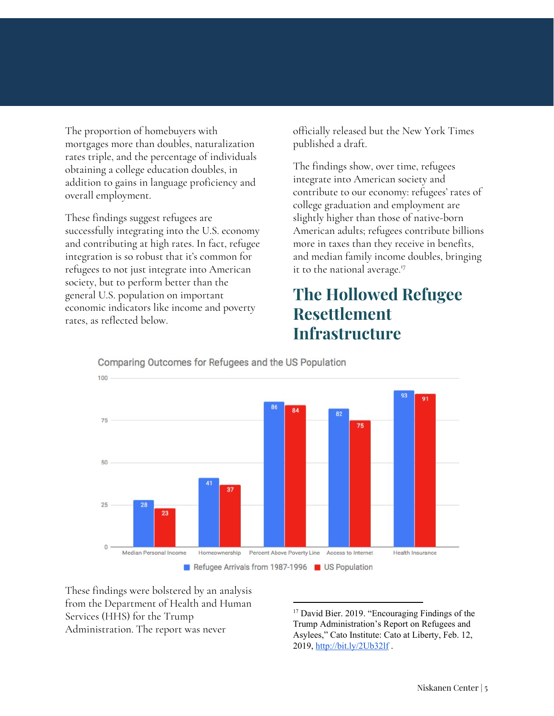The proportion of homebuyers with mortgages more than doubles, naturalization rates triple, and the percentage of individuals obtaining a college education doubles, in addition to gains in language proficiency and overall employment.

These findings suggest refugees are successfully integrating into the U.S. economy and contributing at high rates. In fact, refugee integration is so robust that it's common for refugees to not just integrate into American society, but to perform better than the general U.S. population on important economic indicators like income and poverty rates, as reflected below.

officially released but the New York Times published a draft.

The findings show, over time, refugees integrate into American society and contribute to our economy: refugees' rates of college graduation and employment are slightly higher than those of native-born American adults; refugees contribute billions more in taxes than they receive in benefits, and median family income doubles, bringing it to the national average. 17

#### **The Hollowed Refugee Resettlement Infrastructure**



Comparing Outcomes for Refugees and the US Population

These findings were bolstered by an analysis from the Department of Health and Human Services (HHS) for the Trump Administration. The report was never

<sup>17</sup> David Bier. 2019. "Encouraging Findings of the Trump Administration's Report on Refugees and Asylees," Cato Institute: Cato at Liberty, Feb. 12, 2019, <http://bit.ly/2Ub32lf> .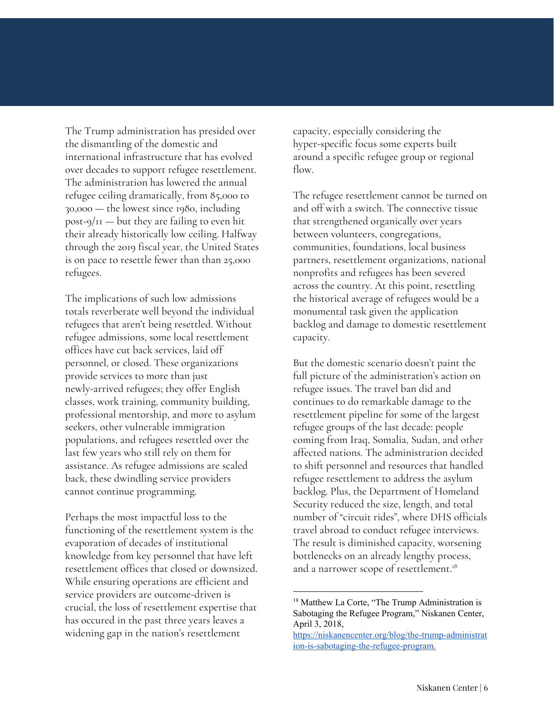The Trump administration has presided over the dismantling of the domestic and international infrastructure that has evolved over decades to support refugee resettlement. The administration has lowered the annual refugee ceiling dramatically, from 85,000 to 30,000 — the lowest since 1980, including  $post-9/11$  — but they are failing to even hit their already historically low ceiling. Halfway through the 2019 fiscal year, the United States is on pace to resettle fewer than than 25,000 refugees.

The implications of such low admissions totals reverberate well beyond the individual refugees that aren't being resettled. Without refugee admissions, some local resettlement offices have cut back services, laid off personnel, or closed. These organizations provide services to more than just newly-arrived refugees; they offer English classes, work training, community building, professional mentorship, and more to asylum seekers, other vulnerable immigration populations, and refugees resettled over the last few years who still rely on them for assistance. As refugee admissions are scaled back, these dwindling service providers cannot continue programming.

Perhaps the most impactful loss to the functioning of the resettlement system is the evaporation of decades of institutional knowledge from key personnel that have left resettlement offices that closed or downsized. While ensuring operations are efficient and service providers are outcome-driven is crucial, the loss of resettlement expertise that has occured in the past three years leaves a widening gap in the nation's resettlement

capacity, especially considering the hyper-specific focus some experts built around a specific refugee group or regional flow.

The refugee resettlement cannot be turned on and off with a switch. The connective tissue that strengthened organically over years between volunteers, congregations, communities, foundations, local business partners, resettlement organizations, national nonprofits and refugees has been severed across the country. At this point, resettling the historical average of refugees would be a monumental task given the application backlog and damage to domestic resettlement capacity.

But the domestic scenario doesn't paint the full picture of the administration's action on refugee issues. The travel ban did and continues to do remarkable damage to the resettlement pipeline for some of the largest refugee groups of the last decade: people coming from Iraq, Somalia, Sudan, and other affected nations. The administration decided to shift personnel and resources that handled refugee resettlement to address the asylum backlog. Plus, the Department of Homeland Security reduced the size, length, and total number of "circuit rides", where DHS officials travel abroad to conduct refugee interviews. The result is diminished capacity, worsening bottlenecks on an already lengthy process, and a narrower scope of resettlement. 18

<sup>&</sup>lt;sup>18</sup> Matthew La Corte, "The Trump Administration is Sabotaging the Refugee Program," Niskanen Center, April 3, 2018,

[https://niskanencenter.org/blog/the-trump-administrat](https://niskanencenter.org/blog/the-trump-administration-is-sabotaging-the-refugee-program/) [ion-is-sabotaging-the-refugee-program.](https://niskanencenter.org/blog/the-trump-administration-is-sabotaging-the-refugee-program/)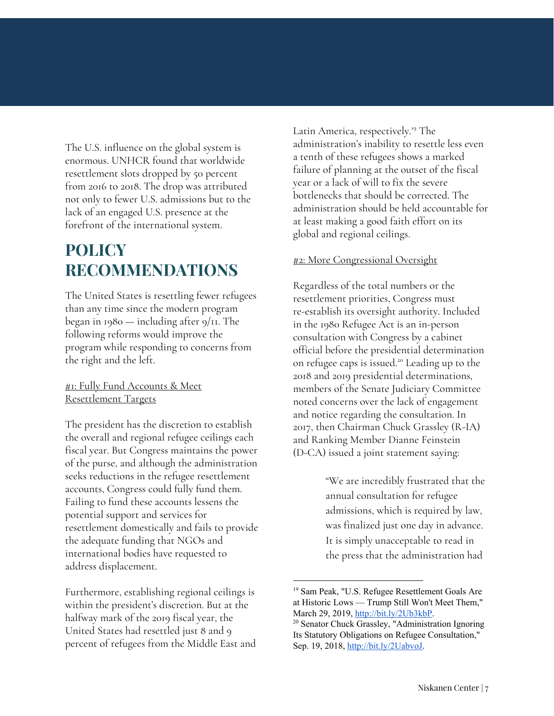The U.S. influence on the global system is enormous. UNHCR found that worldwide resettlement slots dropped by 50 percent from 2016 to 2018. The drop was attributed not only to fewer U.S. admissions but to the lack of an engaged U.S. presence at the forefront of the international system.

### **POLICY RECOMMENDATIONS**

The United States is resettling fewer refugees than any time since the modern program began in 1980 — including after 9/11. The following reforms would improve the program while responding to concerns from the right and the left.

#1: Fully Fund Accounts & Meet Resettlement Targets

The president has the discretion to establish the overall and regional refugee ceilings each fiscal year. But Congress maintains the power of the purse, and although the administration seeks reductions in the refugee resettlement accounts, Congress could fully fund them. Failing to fund these accounts lessens the potential support and services for resettlement domestically and fails to provide the adequate funding that NGOs and international bodies have requested to address displacement.

Furthermore, establishing regional ceilings is within the president's discretion. But at the halfway mark of the 2019 fiscal year, the United States had resettled just 8 and 9 percent of refugees from the Middle East and Latin America, respectively.<sup>19</sup> The administration's inability to resettle less even a tenth of these refugees shows a marked failure of planning at the outset of the fiscal year or a lack of will to fix the severe bottlenecks that should be corrected. The administration should be held accountable for at least making a good faith effort on its global and regional ceilings.

#### #2: More Congressional Oversight

Regardless of the total numbers or the resettlement priorities, Congress must re-establish its oversight authority. Included in the 1980 Refugee Act is an in-person consultation with Congress by a cabinet official before the presidential determination on refugee caps is issued.<sup>20</sup> Leading up to the 2018 and 2019 presidential determinations, members of the Senate Judiciary Committee noted concerns over the lack of engagement and notice regarding the consultation. In 2017, then Chairman Chuck Grassley (R-IA) and Ranking Member Dianne Feinstein (D-CA) issued a joint statement saying:

> "We are incredibly frustrated that the annual consultation for refugee admissions, which is required by law, was finalized just one day in advance. It is simply unacceptable to read in the press that the administration had

<sup>&</sup>lt;sup>19</sup> Sam Peak, "U.S. Refugee Resettlement Goals Are at Historic Lows — Trump Still Won't Meet Them," March 29, 2019, [http://bit.ly/2Ub3kbP.](http://bit.ly/2Ub3kbP)

<sup>20</sup> Senator Chuck Grassley, "Administration Ignoring Its Statutory Obligations on Refugee Consultation," Sep. 19, 2018, <http://bit.ly/2UabvoJ>.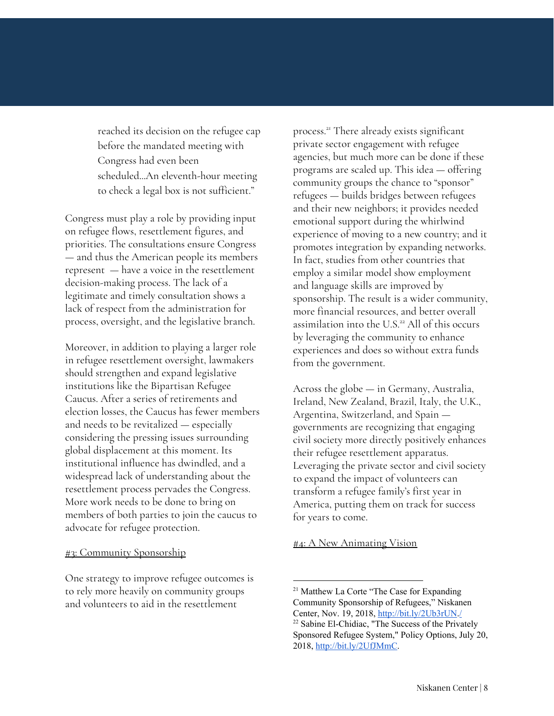reached its decision on the refugee cap before the mandated meeting with Congress had even been scheduled...An eleventh-hour meeting to check a legal box is not sufficient."

Congress must play a role by providing input on refugee flows, resettlement figures, and priorities. The consultations ensure Congress — and thus the American people its members represent — have a voice in the resettlement decision-making process. The lack of a legitimate and timely consultation shows a lack of respect from the administration for process, oversight, and the legislative branch.

Moreover, in addition to playing a larger role in refugee resettlement oversight, lawmakers should strengthen and expand legislative institutions like the Bipartisan Refugee Caucus. After a series of retirements and election losses, the Caucus has fewer members and needs to be revitalized — especially considering the pressing issues surrounding global displacement at this moment. Its institutional influence has dwindled, and a widespread lack of understanding about the resettlement process pervades the Congress. More work needs to be done to bring on members of both parties to join the caucus to advocate for refugee protection.

#### #3: Community Sponsorship

One strategy to improve refugee outcomes is to rely more heavily on community groups and volunteers to aid in the resettlement

process.<sup>21</sup> There already exists significant private sector engagement with refugee agencies, but much more can be done if these programs are scaled up. This idea — offering community groups the chance to "sponsor" refugees — builds bridges between refugees and their new neighbors; it provides needed emotional support during the whirlwind experience of moving to a new country; and it promotes integration by expanding networks. In fact, studies from other countries that employ a similar model show employment and language skills are improved by sponsorship. The result is a wider community, more financial resources, and better overall assimilation into the U.S.<sup>22</sup> All of this occurs by leveraging the community to enhance experiences and does so without extra funds from the government.

Across the globe — in Germany, Australia, Ireland, New Zealand, Brazil, Italy, the U.K., Argentina, Switzerland, and Spain governments are recognizing that engaging civil society more directly positively enhances their refugee resettlement apparatus. Leveraging the private sector and civil society to expand the impact of volunteers can transform a refugee family's first year in America, putting them on track for success for years to come.

#### **#4: A New Animating Vision**

<sup>&</sup>lt;sup>21</sup> Matthew La Corte "The Case for Expanding Community Sponsorship of Refugees," Niskanen Center, Nov. 19, 2018, [http://bit.ly/2Ub3rUN.](http://bit.ly/2Ub3rUN)[/](https://niskanencenter.org/blog/the-case-for-expanding-community-sponsorship-of-refugees/) <sup>22</sup> Sabine El-Chidiac, "The Success of the Privately Sponsored Refugee System," Policy Options, July 20, 2018, [http://bit.ly/2UfJMmC.](http://bit.ly/2UfJMmC)